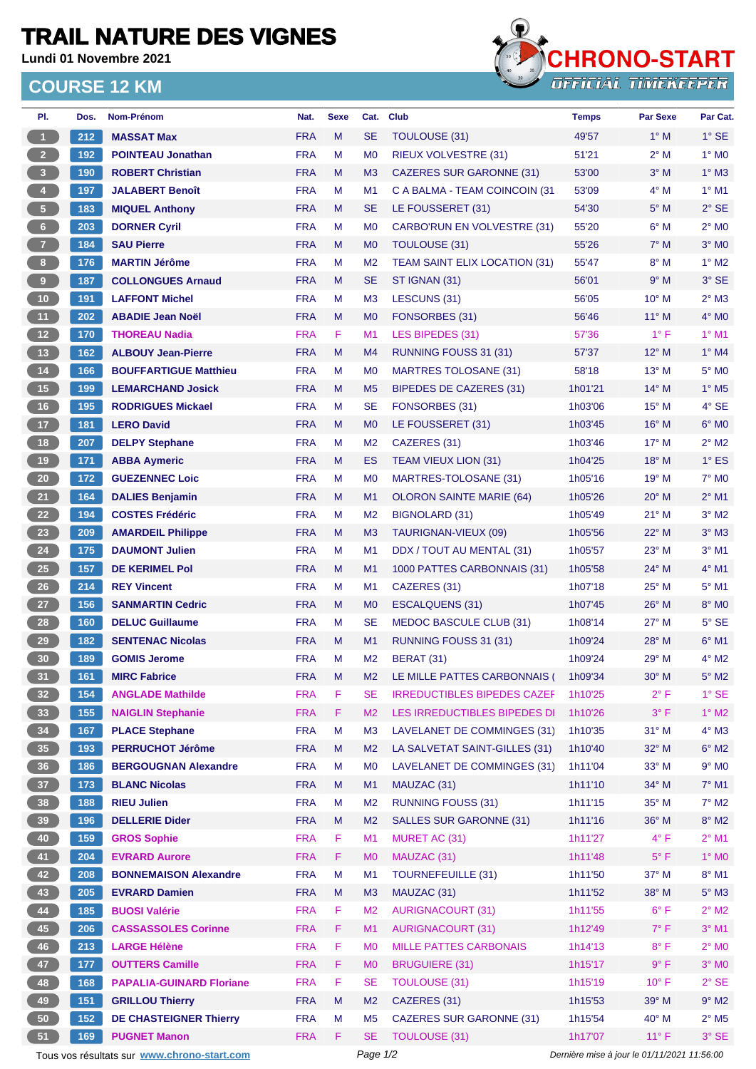## **TRAIL NATURE DES VIGNES**

**Lundi 01 Novembre 2021**

## **COURSE 12 KM**



| PI.             | Dos. | Nom-Prénom                                  | Nat.                     | <b>Sexe</b> | Cat.           | <b>Club</b>                          | <b>Temps</b>       | <b>Par Sexe</b>                             | Par Cat.                     |  |  |
|-----------------|------|---------------------------------------------|--------------------------|-------------|----------------|--------------------------------------|--------------------|---------------------------------------------|------------------------------|--|--|
| $\overline{1}$  | 212  | <b>MASSAT Max</b>                           | <b>FRA</b>               | M           | <b>SE</b>      | TOULOUSE (31)                        | 49'57              | $1^\circ$ M                                 | $1^\circ$ SE                 |  |  |
| $\overline{2}$  | 192  | <b>POINTEAU Jonathan</b>                    | <b>FRA</b>               | M           | M <sub>0</sub> | RIEUX VOLVESTRE (31)                 | 51'21              | $2^{\circ}$ M                               | $1^\circ$ MO                 |  |  |
| 3 <sup>°</sup>  | 190  | <b>ROBERT Christian</b>                     | <b>FRA</b>               | M           | M3             | <b>CAZERES SUR GARONNE (31)</b>      | 53'00              | $3°$ M                                      | $1^\circ$ M3                 |  |  |
| 4 <sup>1</sup>  | 197  | <b>JALABERT Benoît</b>                      | <b>FRA</b>               | M           | M <sub>1</sub> | C A BALMA - TEAM COINCOIN (31)       | 53'09              | $4^\circ$ M                                 | $1^\circ$ M1                 |  |  |
| $\sqrt{5}$      | 183  | <b>MIQUEL Anthony</b>                       | <b>FRA</b>               | M           | <b>SE</b>      | LE FOUSSERET (31)                    | 54'30              | $5^\circ$ M                                 | $2°$ SE                      |  |  |
| $6\phantom{.}6$ | 203  | <b>DORNER Cyril</b>                         | <b>FRA</b>               | M           | M <sub>0</sub> | <b>CARBO'RUN EN VOLVESTRE (31)</b>   | 55'20              | $6^\circ$ M                                 | $2^{\circ}$ M <sub>0</sub>   |  |  |
| $\overline{7}$  | 184  | <b>SAU Pierre</b>                           | <b>FRA</b>               | M           | M <sub>0</sub> | <b>TOULOUSE (31)</b>                 | 55'26              | $7^\circ$ M                                 | $3°$ MO                      |  |  |
| 8 <sup>1</sup>  | 176  | <b>MARTIN Jérôme</b>                        | <b>FRA</b>               | M           | M <sub>2</sub> | <b>TEAM SAINT ELIX LOCATION (31)</b> | 55'47              | $8^\circ$ M                                 | $1^\circ$ M <sub>2</sub>     |  |  |
| 9               | 187  | <b>COLLONGUES Arnaud</b>                    | <b>FRA</b>               | M           | <b>SE</b>      | ST IGNAN (31)                        | 56'01              | 9° M                                        | $3°$ SE                      |  |  |
| 10              | 191  | <b>LAFFONT Michel</b>                       | <b>FRA</b>               | M           | M <sub>3</sub> | LESCUNS (31)                         | 56'05              | $10^{\circ}$ M                              | $2^{\circ}$ M3               |  |  |
| 11              | 202  | <b>ABADIE Jean Noël</b>                     | <b>FRA</b>               | M           | M <sub>0</sub> | FONSORBES (31)                       | 56'46              | 11° M                                       | $4^\circ$ MO                 |  |  |
| 12              | 170  | <b>THOREAU Nadia</b>                        | <b>FRA</b>               | F.          | M1             | LES BIPEDES (31)                     | 57'36              | $1^{\circ}$ F                               | $1°$ M1                      |  |  |
| 13              | 162  | <b>ALBOUY Jean-Pierre</b>                   | <b>FRA</b>               | M           | M4             | RUNNING FOUSS 31 (31)                | 57'37              | 12° M                                       | $1^\circ$ M4                 |  |  |
| 14              | 166  | <b>BOUFFARTIGUE Matthieu</b>                | <b>FRA</b>               | M           | M <sub>0</sub> | <b>MARTRES TOLOSANE (31)</b>         | 58'18              | 13° M                                       | 5° M <sub>0</sub>            |  |  |
| 15              | 199  | <b>LEMARCHAND Josick</b>                    | <b>FRA</b>               | M           | M <sub>5</sub> | BIPEDES DE CAZERES (31)              | 1h01'21            | $14^{\circ}$ M                              | $1^\circ$ M <sub>5</sub>     |  |  |
| 16              | 195  | <b>RODRIGUES Mickael</b>                    | <b>FRA</b>               | M           | <b>SE</b>      | FONSORBES (31)                       | 1h03'06            | 15° M                                       | $4°$ SE                      |  |  |
| 17              | 181  | <b>LERO David</b>                           | <b>FRA</b>               | M           | M <sub>0</sub> | LE FOUSSERET (31)                    | 1h03'45            | $16^{\circ}$ M                              | $6°$ MO                      |  |  |
| 18              | 207  | <b>DELPY Stephane</b>                       | <b>FRA</b>               | M           | M <sub>2</sub> | CAZERES (31)                         | 1h03'46            | 17° M                                       | $2^{\circ}$ M2               |  |  |
| 19              | 171  | <b>ABBA Aymeric</b>                         | <b>FRA</b>               | M           | ES             | <b>TEAM VIEUX LION (31)</b>          | 1h04'25            | $18^\circ$ M                                | $1^\circ$ ES                 |  |  |
| 20              | 172  | <b>GUEZENNEC Loic</b>                       | <b>FRA</b>               | M           | M <sub>0</sub> | MARTRES-TOLOSANE (31)                | 1h05'16            | $19°$ M                                     | $7^\circ$ MO                 |  |  |
| 21              | 164  | <b>DALIES Benjamin</b>                      | <b>FRA</b>               | M           | M1             | <b>OLORON SAINTE MARIE (64)</b>      | 1h05'26            | $20^{\circ}$ M                              | $2^{\circ}$ M1               |  |  |
| 22              | 194  | <b>COSTES Frédéric</b>                      | <b>FRA</b>               | M           | M <sub>2</sub> | <b>BIGNOLARD (31)</b>                | 1h05'49            | $21°$ M                                     | $3°$ M2                      |  |  |
| 23              | 209  | <b>AMARDEIL Philippe</b>                    | <b>FRA</b>               | M           | M <sub>3</sub> | TAURIGNAN-VIEUX (09)                 | 1h05'56            | $22^{\circ}$ M                              | $3°$ M $3$                   |  |  |
| 24              | 175  | <b>DAUMONT Julien</b>                       | <b>FRA</b>               | м           | M1             | DDX / TOUT AU MENTAL (31)            | 1h05'57            | 23° M                                       | $3°$ M1                      |  |  |
| 25              | 157  | <b>DE KERIMEL Pol</b>                       | <b>FRA</b>               | M           | M1             | 1000 PATTES CARBONNAIS (31)          | 1h05'58            | 24° M                                       | 4° M1                        |  |  |
| 26              | 214  | <b>REY Vincent</b>                          | <b>FRA</b>               | M           | M1             | CAZERES (31)                         | 1h07'18            | $25^{\circ}$ M                              | $5^\circ$ M1                 |  |  |
| 27              | 156  | <b>SANMARTIN Cedric</b>                     | <b>FRA</b>               | M           | M <sub>0</sub> | <b>ESCALQUENS (31)</b>               | 1h07'45            | $26^{\circ}$ M                              | 8° MO                        |  |  |
| 28              | 160  | <b>DELUC Guillaume</b>                      | <b>FRA</b>               | M           | SE             | MEDOC BASCULE CLUB (31)              | 1h08'14            | $27^\circ$ M                                | $5^\circ$ SE                 |  |  |
| 29              | 182  | <b>SENTENAC Nicolas</b>                     |                          |             |                |                                      |                    | 28° M                                       |                              |  |  |
|                 |      |                                             | <b>FRA</b><br><b>FRA</b> | M<br>M      | M1             | RUNNING FOUSS 31 (31)                | 1h09'24<br>1h09'24 | $29^{\circ}$ M                              | $6^\circ$ M1<br>$4^\circ$ M2 |  |  |
| 30              | 189  | <b>GOMIS Jerome</b>                         |                          |             | M <sub>2</sub> | BERAT (31)                           |                    |                                             |                              |  |  |
| 31              | 161  | <b>MIRC Fabrice</b>                         | <b>FRA</b>               | M           | M <sub>2</sub> | LE MILLE PATTES CARBONNAIS (         | 1h09'34            | $30^\circ$ M                                | $5^\circ$ M2                 |  |  |
| 32 <sub>2</sub> | 154  | <b>ANGLADE Mathilde</b>                     | <b>FRA</b>               | F           | SE             | <b>IRREDUCTIBLES BIPEDES CAZEF</b>   | 1h10'25            | $2^{\circ}$ F                               | $1°$ SE                      |  |  |
| 33              | 155  | <b>NAIGLIN Stephanie</b>                    | <b>FRA</b>               | F           | M <sub>2</sub> | LES IRREDUCTIBLES BIPEDES DI         | 1h10'26            | $3^{\circ}$ F                               | $1^\circ$ M2                 |  |  |
| 34              | 167  | <b>PLACE Stephane</b>                       | <b>FRA</b>               | M           | M <sub>3</sub> | LAVELANET DE COMMINGES (31)          | 1h10'35            | $31°$ M                                     | $4^\circ$ M3                 |  |  |
| 35              | 193  | <b>PERRUCHOT Jérôme</b>                     | <b>FRA</b>               | M           | M <sub>2</sub> | LA SALVETAT SAINT-GILLES (31)        | 1h10'40            | 32° M                                       | $6^\circ$ M2                 |  |  |
| 36              | 186  | <b>BERGOUGNAN Alexandre</b>                 | <b>FRA</b>               | M           | M <sub>0</sub> | LAVELANET DE COMMINGES (31)          | 1h11'04            | 33° M                                       | $9°$ MO                      |  |  |
| 37              | 173  | <b>BLANC Nicolas</b>                        | <b>FRA</b>               | M           | M1             | MAUZAC (31)                          | 1h11'10            | 34° M                                       | $7°$ M1                      |  |  |
| 38              | 188  | <b>RIEU Julien</b>                          | <b>FRA</b>               | M           | M <sub>2</sub> | <b>RUNNING FOUSS (31)</b>            | 1h11'15            | 35° M                                       | $7^\circ$ M2                 |  |  |
| 39              | 196  | <b>DELLERIE Dider</b>                       | <b>FRA</b>               | M           | M <sub>2</sub> | <b>SALLES SUR GARONNE (31)</b>       | 1h11'16            | 36° M                                       | $8^\circ$ M2                 |  |  |
| 40              | 159  | <b>GROS Sophie</b>                          | <b>FRA</b>               | F           | M <sub>1</sub> | MURET AC (31)                        | 1h11'27            | $4^{\circ}$ F                               | $2^{\circ}$ M1               |  |  |
| 41              | 204  | <b>EVRARD Aurore</b>                        | <b>FRA</b>               | F           | M <sub>0</sub> | MAUZAC (31)                          | 1h11'48            | $5^{\circ}$ F                               | 1° MO                        |  |  |
| 42              | 208  | <b>BONNEMAISON Alexandre</b>                | <b>FRA</b>               | M           | M1             | <b>TOURNEFEUILLE (31)</b>            | 1h11'50            | 37° M                                       | $8^\circ$ M1                 |  |  |
| 43              | 205  | <b>EVRARD Damien</b>                        | <b>FRA</b>               | M           | M <sub>3</sub> | MAUZAC (31)                          | 1h11'52            | 38° M                                       | $5^\circ$ M3                 |  |  |
| 44              | 185  | <b>BUOSI Valérie</b>                        | <b>FRA</b>               | F.          | M <sub>2</sub> | <b>AURIGNACOURT (31)</b>             | 1h11'55            | $6^{\circ}$ F                               | $2^{\circ}$ M2               |  |  |
| 45              | 206  | <b>CASSASSOLES Corinne</b>                  | <b>FRA</b>               | F.          | M1             | <b>AURIGNACOURT (31)</b>             | 1h12'49            | $7^\circ$ F                                 | $3^\circ$ M1                 |  |  |
| 46              | 213  | <b>LARGE Hélène</b>                         | <b>FRA</b>               | F           | M <sub>0</sub> | <b>MILLE PATTES CARBONAIS</b>        | 1h14'13            | $8^{\circ}$ F                               | $2^\circ$ MO                 |  |  |
| 47              | 177  | <b>OUTTERS Camille</b>                      | <b>FRA</b>               | F           | M <sub>0</sub> | <b>BRUGUIERE (31)</b>                | 1h15'17            | $9^{\circ}$ F                               | $3°$ MO                      |  |  |
| 48              | 168  | <b>PAPALIA-GUINARD Floriane</b>             | <b>FRA</b>               | F           | <b>SE</b>      | <b>TOULOUSE (31)</b>                 | 1h15'19            | $10^{\circ}$ F                              | $2°$ SE                      |  |  |
| 49              | 151  | <b>GRILLOU Thierry</b>                      | <b>FRA</b>               | M           | M <sub>2</sub> | CAZERES (31)                         | 1h15'53            | 39° M                                       | $9^\circ$ M2                 |  |  |
| 50              | 152  | <b>DE CHASTEIGNER Thierry</b>               | <b>FRA</b>               | M           | M <sub>5</sub> | <b>CAZERES SUR GARONNE (31)</b>      | 1h15'54            | $40^{\circ}$ M                              | $2^{\circ}$ M <sub>5</sub>   |  |  |
| 51              | 169  | <b>PUGNET Manon</b>                         | <b>FRA</b>               | F.          | <b>SE</b>      | <b>TOULOUSE (31)</b>                 | 1h17'07            | $11^{\circ}$ F                              | $3°$ SE                      |  |  |
|                 |      | Tous vos résultats sur www.chrono-start.com |                          | Page 1/2    |                |                                      |                    | Dernière mise à jour le 01/11/2021 11:56:00 |                              |  |  |